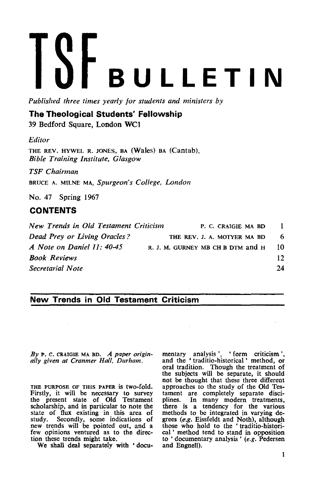# **BULLETIN**

*Published three times yearly for students and ministers by* 

# **The Theological Students' Fellowship**

39 Bedford Square, London WCl

## *Editor*

THE REV. HYWEL R. JONES, BA (Wales) BA (Cantab), *Bible Training Institute, Glasgow* 

*TSF Chairman* 

BRUCE A. MILNE MA, *Spurgeon's College, London* 

No. 47 Spring 1967

# **CONTENTS**

*New Trends in Old Testament Criticism* P. C. CRAIGIE MA BD 1 *Dead Prey or Living Oracles?* THE REV. J. A. MOTYER MA BD 6 *A Note on Daniel 11:* 40-45 R. J. M. GURNEY MB CH B DTM and H 10 *Book Reviews* 12 *Secretarial Note 24* 

# **New Trends in Old Testament Criticism**

*By* P. C. CRAIGlE MA BD. *A paper originally given at Cranmer Hall, Durham.* 

THE PURPOSE OF THIS PAPER is two-fold. Firstly, it will be necessary to survey the present state of Old Testament scholarship, and in particular to note the state of flux existing in this area of study. Secondly, some indications of new trends will be pointed out, and a few opinions ventured as to the direcfew opinions ventured as to the direction these trends might take.

We shall deal separately with 'docu-

mentary analysis', 'form criticism',<br>and the 'traditio-historical' method, or and the • traditio-historical' method, or oral tradition. Though the treatment of the subjects will be separate, it should not be thought that these three different approaches to the study of the Old Testament are completely separate disci-plines. In many modern treatments, there is a tendency for the various methods to be integrated in varying degrees (e.g. Eissfeldt and Noth), although those who hold to the 'traditio-historical ' method tend to stand in opposition to ' documentary analysis '  $(e.g.$  Pedersen and Engnell).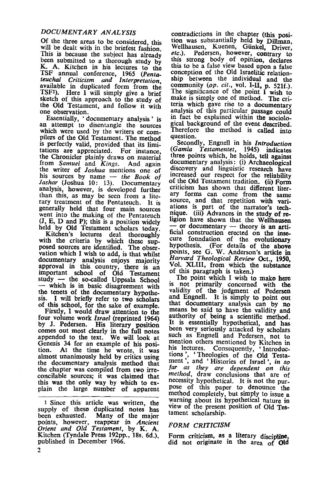### *DOCUMENTARY ANALYSIS*

Of the three areas to be considered, this will be dealt with in the briefest fashion This is because the subject has already been submitted to a thorough study by K. A. Kitchen in his lectures to the TSF annual conference, 1965 *(Penta-teuchal Criticism and Interpretation*  available in duplicated form from the TSF<sup>1</sup>). Here I will simply give a brief sketch of this approach to the study of the Old Testament, and follow it with<br>one observation.<br>Essentially, 'documentary analysis' is

an attempt to disentangle the sources which were used by the writers or compilers of the Old Testament. The method is perfectly valid, provided that its limitations are appreciated. For instance, tations are appreciated. the Chronicler plainly draws on material<br>from Samuel and Kings. And again from *Samuel* and *Kings*. the wnter of *Joshua* mentions one of his sources by name - *the Book of Jashar* (Joshua 10: 13). Documentary analysis, however, is developed further than this, as may be seen from a literary treatment of the Pentateuch. It is<br>generally held that four main sources went into the making of the Pentateuch (J, E, D and P); this is a position widely held by Old Testament scholars today.<br>Kitchen's lectures deal thoroughly

lectures deal thoroughly with the criteria by which these supposed sources are identified. The observation which I wish to add, is that whilst documentary analysis enjoys majority approval in this country, there is an important school of Old Testament<br>study — the so-called Uppsala School which is in basic disagreement with the tenets of the documentary hypothesis. I will briefly refer to two scholars of this school, for the sake of example.

Firstly, I would draw attention to the four volume work *Israel* (reprinted 1964) by J. Pedersen. His literary position comes out most clearly in the full notes appended to the text. We will look at Genesis 34 for an example of his position. At the time he wrote, it was almost unanimously held by critics using the documentary analysis method that the chapter was compiled from two irreconcilable sources; it was claimed that this was the only way by which to explain the large number of apparent

1 Since this article was written, the supply of these duplicated notes has<br>been exhausted. Many of the major Many of the major points, however, reappear in *Ancient Orient and Old Testament,* by K. A. Kitchen (fyndale Press 192pp., 18s. 6d.) published in December 1966.

contradictions in the chapter (this position was substantially held by Dillman, Wellhausen, Kuenen, Günkel, Driver, *etc.).* Pedersen, however, contrary to this strong body of opinion, declares this to be a false view based upon a false conception of the Old Israelitic relationship between the individual and the community *(op. cit.,* vol. 1-1I, p. 521f.). The significance of the point I wish to make is simply one of method. The criteria which gave rise to a documentary analysis of this particular passage could in fact be explained within the sociological background of the event described. Therefore the method is called into question.

Secondly, Engnell in his *Introduction (Gamla Testamentet,* 1945) indicates three points which, he holds, tell against documentary analysis: (i) Archaeological discovery and linguistic research have increased our respect for the reliability of the Old Testament tradition. (ii) Form criticism has shown that different liter-<br>ary forms can come from the same ary forms can come from the same<br>source, and that repetition with vari-<br>ations is part of the narrator's technique. (iii) Advances in the study of re-<br>ligion have shown that the Wellhausen  $-$  or documentary  $-$  theory is an artificial construction erected on the insecure foundation of the evolutionary hypothesis. (For details of the above points, see G. W. Anderson's article in *Harvard Theological Review* Oct., 1950, Vol. XLIII, from which the substance of this paragraph is taken.)

The point which I wish to make here is not primarily concerned with the validity of the judgment of Pedersen and Engnell. It is simply to point out that documentary analysis can by no means be said to have the validity and authority of being a scientific method It is essentially hypothetical, and has been very seriously attacked by scholars such as Engnell and Pedersen, not to mention others mentioned by Kitchen in<br>his lectures. Consequently 'Introduc-Consequently, 'Introductions, 'Theologies of the Old Testa-<br>ment, and 'Histories of Israel', in so far as they are dependent on this method, draw conclusions that are of necessity hypothetical. It is not the purpose of this paper to denounce the method completely, but simply to issue a warning about its hypothetical nature in view of the present position of Old Testament scholarship.

### *FORM CRITICISM*

Form criticism, as a literary discipline, did not originate in the area of Old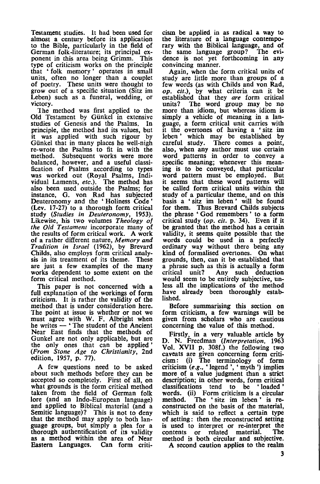Testament studies. it had been used for almost a century before its application to the Bible, particularly in the field of German folk-literature; its principal ex- ponent in this area being Grimm. This type of criticism works on the principle that 'folk: memory' operates in small units, often no longer than a couplet of poetry. These units were thought to grow out of a specific situation (Sitz im Leben) such as a funeral, wedding, or victory.

The method was first applied to the Old Testament by Giinkel in extensive studies of Genesis and the Psalms. In principle, the method had its values, but it was applied with such rigour by Giinkel that in many places he well-nigh re-wrote the Psalms to fit in with the method. Subsequent works were more balanced, however, and a useful classification of Psalms according to types was worked out (Royal Psalms, Individual Laments, *etc.).* The method has also been used outside the Psalms; for instance, G. von Rad has subjected Deuteronomy and the 'Holiness Code' (Lev. 17-27) to a thorough form critical study *(Studies in Deuteronomy, 1953).*  Likewise, his two volumes *Theology of the Old Testament* incorporate many of the results of form critical work. A work of a rather different nature, *Memory and Tradition in Israel* (1962), by Brevard Childs, also employs form critical analysis in its treatment of its theme. These are just a few examples of the many works dependent to some extent on the form critical method.

This paper is not concerned with a full explanation of the workings of form criticism. It is rather the validity of the method that is under consideration here. The point at issue is whether or not we must agree with W. F. Albright when he writes - 'The student of the Ancient Near East finds that the methods of Gunkel are not only applicable, but are the only ones that can be applied' *(From Stone Age to Christianity,* 2nd edition, 1957, p. 77).

A few questions need to be asked about such methods before they can be accepted so completely. First of all, on what grounds is the form critical method taken from the field of German folk: lore (and an Indo-European language)<br>and applied to Biblical material (and a Semitic language)? This is not to deny that the method may apply to both language groups, but simply a plea for a thorough authentification of its validity as a method within the area of Near Eastern Languages. Can form criticism be applied in as radical a way to the literature of a language contemporary with the Biblical language, and of<br>the same language group? The evithe same language group? dence is not yet forthcoming in any convincing manner.

Again, when the form critical units of study are little more than groups of a few words (as with Childs and von Rad, *op. cit.),* by what criteria can it be established that they are form critical units? The word group may be no more than idiom, but whereas idiom is simply a vehicle of meaning in a language, a form critical unit carries with it the overtones of having a 'sitz im<br>leben' which may be established by which may be established by careful study. There comes a point, also, when any author must use certain<br>word patterns in order to convey a specific meaning; whenever this meaning is to be conveyed, that particular word pattern must be employed. But it seems that these word patterns will be called form critical units within the study of a particular theme, and on this basis a 'sitz im leben' will be found for them. Thus Brevard Childs subjects the phrase 'God remembers ' to a form critical study *(op. cit.* p. 34). Even if it be granted that the method has a certain validity, it seems quite possible that the words could be used in a perfectly ordinary way without there being any kind of formalised overtones. On what grounds, then, can it be established that a phrase such as this is actually a form critical unit? Any such deduction less all the implications of the method have already been thoroughly established.

Before summarising this section on form criticism, a few warnings will be given from scholars who are cautious concerning the value of this method.

Firstly, in a very valuable article by D. N. Freedman *(Interpretation, 1963*  Vol. XVII p. 308f.) the following two caveats are given concerning form criti-cism : (i) The terminology of form criticism *(e.g., 'legend ', 'myth ')* implies more of a value judgment than a strict description; in other words, form critical classifications tend to be ' loaded' words. (ii) Form criticism is a circular method. The 'sitz im leben' is remethod. The 'sitz im leben' is reconstructed on the basis of the material, which is said to reflect a certain type of setting: then the reconstructed setting is used to interpret or re-interpret the<br>contents or related material. The contents or related material. method is both circular and subjective.

A second caution applies to the realm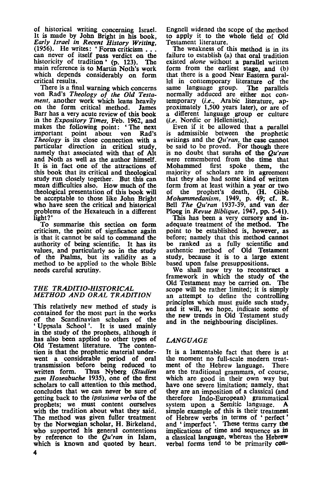of historical writing concerning Israel. It is made by John Bright in his book, *Early Israel in Recent History Writing,*  Early Island in Recent History Writing.<br>
(1956). He writes: • Form criticism ...<br>
can never of itself pass verdict on the historicity of tradition' (p. 123). The main reference is to Martin Noth's work which depends considerably on form

critical results.<br>There is a final warning which concerns von Rad's Theology of the Old Testa-<br>ment, another work which leans heavily on the form critical method. James Barr has a very acute review of this book in the *Expository Times,* Feb. 1962, and makes the following point: 'The next<br>important point about you Rad's important point about von Rad's<br>Theology is its close connection with a particular direction in critical study, namely that associated with that of Alt and Noth as well as the author himself. It is in fact one of the attractions of this book that its critical and theological mean difficulties also. How much of the theological presentation of this book will be acceptable to those like John Bright who have seen the critical and historical problems of the Hexateuch in a different light?'

To summarise this section on form criticism, the point of signficance again is that it cannot be said to command the authority of being scientific. It has its values, and particularly so in the study<br>of the Psalms, but its validity as a method to be applied to the whole Bible needs careful scrutiny.

### *THE TRADITIO-HISTO'RICAL METHOD AND ORAL TRADITION*

This relatively new method of study is contained for the most part in the works of the Scandinavian scholars of the • Uppsala School '. It is used mainly in the study of the prophets, although it has also been applied to other types of Old Testament literature. The contention is that the prophetic material underwent a considerable period of oral transmission before being reduced to written form. Thus Nyberg *(Studien zum Hoseabuche* 1935), one of the first scholars to call attention to this method. concludes that we can never be sure of getting back to the *ipsissima verba* of the prophets; we must content ourselves with the tradition about what they said. The method was given fuller treatment by the Norwegian scholar, H. Birkeland, who supported his general contentions by reference to the *Qu'ran* in Islam, which is known and quoted by heart.

Engnell widened the scope of the method to apply it to the whole field of Old Testament literature.

The weakness of this method is in its failure to establish (a) that oral tradition existed *alone* without a parallel written form from the earliest stage, and (b) that there is a good Near Eastern parallel in contemporary literature of the same language group. The parallels normally adduced are either not con- temporary *(i.e.,* Arabic literature, approximately 1,500 years later), or are of a different language group or culture (i.e. Nordic or Hellenistic).

Even if it be allowed that a parallel is admissible between the prophetic writings and the *Qu'ran,* the case cannot be said to be proved. For though there is no doubt that surahs of the *Qu'ran* were remembered from the time that Mohammed first spoke them, the spoke them, the majority of scholars are in agreement that they also had some kind of written form from at least within a year or two<br>of the prophet's death. (H. Gibb prophet's death, (H. Gibb *Mohammedanism,* 1949, p. 49; cf. R. Bell *The QU'Tan* 1937-39, and van der Ploeg in *Revue Biblique,* 1947, pp. 5-41).

This has been a very cursory and inadequate treatment of the method. The point to be established is, however, as before; namely that this method cannot be ranked as a fully scientific and authentic method of Old Testament study, because it is to a large extent

based upon false presuppositions.<br>We shall now try to reconstruct a framework in which the study of the Old Testament may be carried on. The scope will be rather limited; it is simply an attempt to define the controlling principles which must guide such study, and it will, we hope, indicate some of the new trends in Old Testament study and in the neighbouring disciplines.

### *LANGUAGE*

It is a lamentable fact that there is at the moment no full-scale modern treat-<br>ment of the Hebrew language. There ment of the Hebrew language. There are the traditional grammars, of course, which are good in their own way but have one severe limitation; namely, that they are an imposition of a classical (and therefore Indo-European) grammatical system upon a Semitic language. A simple example of this is their treatment of Hebrew verbs in terms of • perfect' and • imperfect'. These terms carry the implications of time and sequence as in a classical language, whereas the Hebrew verbal forms tend to be primarily con-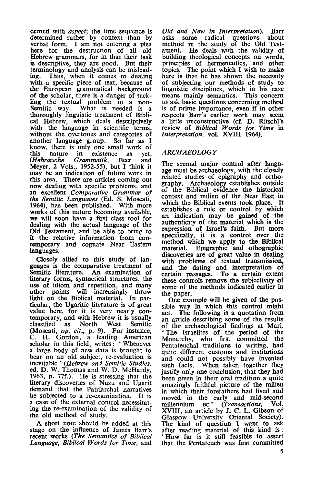cerned with *aspect;* the time sequence is determined rather by context than by verbal form. I am not entering a plea here for the destruction of all old Hebrew grammars, for in that their task is descriptive, they are good. But their terminology and analysis can be mislead-<br>ing. Thus, when it comes to dealing Thus, when it comes to dealing. with a specific piece of text, because of the European grammatical background of the scholar, there is a danger of tack-<br>ling the textual problem in a non-Semitic way. What is needed is a thoroughly linguistic treatment of Biblical Hebrew, which deals descriptively with the language in scientific terms. without the overtones and categories of another language group. So far as I know, there is only one small work of<br>this nature in existence as vet. this nature in existence as yet,<br>(Hebraische Grammatik, Beer and  $Grammatik$ , Meyer, 2 Vols., 1952-55), but I think it may be an indication of future work in<br>this area. There are articles coming out now dealing with specific problems, and an excellent *Comparative Grammar of the Semitic Languages* (Ed. S. Moscati, 1964), has been published. With more works of this nature becoming available, we will soon have a first class tool for dealing with the actual language of the Old Testament, and be able to bring to<br>it the relative information from contemporary and cognate Near Eastern languages.

Closely allied to this study of languages is the comparative treatment of Semitic literature. An examination of literary forms, syntactical structures, the use of idiom and repetition, and many other points will increasingly throw light on the Biblical material. In particular, the Ugaritic literature is of great temporary, and with Hebrew it is usually classified as North West Semitic classified as North West Semitic (Moscati, *op.* cif., p. 9). For instance, C. H. Gordon, a leading American scholar in this field, writes: 'Whenever a large body of new data is brought to bear on an old subject, re-evaluation is inevitable' *(Hebrew and Semitic Studies,*  ed. D. W. Thomas and W. D. McHardy, 1963, p. 77f.). He is stressing that the literary discoveries of Nuzu and Ugarit demand that the Patriarchal narratives be subjected to a re-examination. It is a case of the external control necessitating the re-examination of the validity of the old method of study.

A short note should be added at this stage on the influence of James Barr's recent works *(The Semantics of Biblical Language, Biblical Words for Time,* and

*Old and New in Interpretation).* Barr asks some radical questions about method in the study of the Old Testament. He deals with the validity of building theological concepts on words, principles of hermeneutics, and other topics. The point which I wish to make here is that he has shown the necessity of subjecting our methods of study to linguistic disciplines, which in his case means mainly semantics. This concern to ask basic questions concerning method is of prime importance, even if in other<br>respects Barr's earlier work may seem a little unconstructive (cf. D. Ritschl's review of *Biblical Words for Time* in *Interpretation,* vol. XVIII 1964).

### *ARCHAEOLOGY*

The second major control after language must be archaeology, with the closely related studies of epigraphy and orthography. Archaeology establishes outside of the Biblical evidence the historical context and milieu of the Near East in which the Biblical events took place. It establishes a rule or control by which establishes a rule or control by which an indication may be gained of the authenticity of the material which is the expression of Israel's faith. But more specifically, it is a control over the method which we apply to the Biblical material. Epigraphic and othographic discoveries are of great value in dealing with problems of textual transmission, and the dating and interpretation of certain passages. To a certain extent these controls remove the subjectivity of some of the methods indicated earlier in the paper.

One example will be given of the possible way in which this control might act. The following is a quotation from an article describing some of the results of the archaeological findings at Mari. 'The Israelites of the period of the Monarchy, who first committed the Pentateuchal traditions to writing, had quite different customs and institutions and could not possibly have invented such facts. When taken together they justify only one conclusion, that they had been given in their oral tradition a quite amazingly faithful picture of the milieu in which their forefathers had lived and moved in the early and mid-second millennium BC' *(Transactions,* Vol. XVIII, an article by J. C. L. Gibson of Glasgow University Oriental Society). The kind of question I want to ask after reading material of this kind is: 'How far is it still feasible to assert that the Pentateuch was first committed